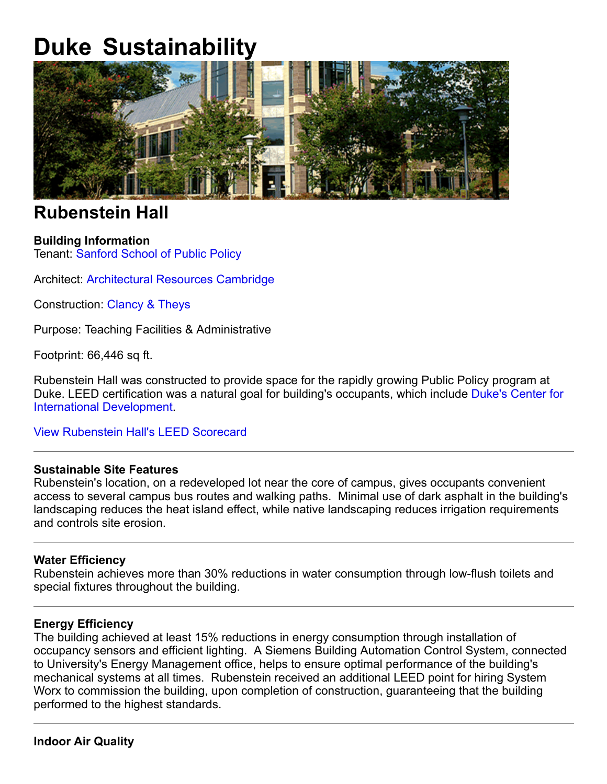# **Duke Sustainability**



# **Rubenstein Hall**

## **Building Information**

Tenant: Sanford School of Public Policy

Architect: Architectural Resources Cambridge

Construction: Clancy & Theys

Purpose: Teaching Facilities & Administrative

Footprint: 66,446 sq ft.

Rubenstein Hall was constructed to provide space for the rapidly growing Public Policy program at Duke. LEED certification was a natural goal for building's occupants, which include Duke's Center for International Development.

View Rubenstein Hall's LEED Scorecard

## **Sustainable Site Features**

Rubenstein's location, on a redeveloped lot near the core of campus, gives occupants convenient access to several campus bus routes and walking paths. Minimal use of dark asphalt in the building's landscaping reduces the heat island effect, while native landscaping reduces irrigation requirements and controls site erosion.

#### **Water Efficiency**

Rubenstein achieves more than 30% reductions in water consumption through low-flush toilets and special fixtures throughout the building.

#### **Energy Efficiency**

The building achieved at least 15% reductions in energy consumption through installation of occupancy sensors and efficient lighting. A Siemens Building Automation Control System, connected to University's Energy Management office, helps to ensure optimal performance of the building's mechanical systems at all times. Rubenstein received an additional LEED point for hiring System Worx to commission the building, upon completion of construction, guaranteeing that the building performed to the highest standards.